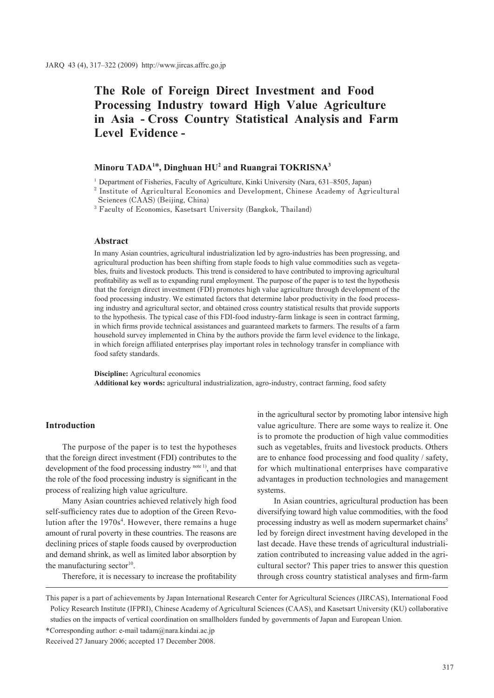# **The Role of Foreign Direct Investment and Food Processing Industry toward High Value Agriculture in Asia - Cross Country Statistical Analysis and Farm Level Evidence -**

## **Minoru TADA1\*, Dinghuan HU2 and Ruangrai TOKRISNA3**

<sup>1</sup> Department of Fisheries, Faculty of Agriculture, Kinki University (Nara, 631–8505, Japan)

**<sup>2</sup> Institute of Agricultural Economics and Development, Chinese Academy of Agricultural Sciences (CAAS) (Beijing, China)**

**<sup>3</sup> Faculty of Economics, Kasetsart University (Bangkok, Thailand)**

#### **Abstract**

In many Asian countries, agricultural industrialization led by agro-industries has been progressing, and agricultural production has been shifting from staple foods to high value commodities such as vegetables, fruits and livestock products. This trend is considered to have contributed to improving agricultural profitability as well as to expanding rural employment. The purpose of the paper is to test the hypothesis that the foreign direct investment (FDI) promotes high value agriculture through development of the food processing industry. We estimated factors that determine labor productivity in the food processing industry and agricultural sector, and obtained cross country statistical results that provide supports to the hypothesis. The typical case of this FDI-food industry-farm linkage is seen in contract farming, in which firms provide technical assistances and guaranteed markets to farmers. The results of a farm household survey implemented in China by the authors provide the farm level evidence to the linkage, in which foreign affiliated enterprises play important roles in technology transfer in compliance with food safety standards.

**Discipline:** Agricultural economics **Additional key words:** agricultural industrialization, agro-industry, contract farming, food safety

#### **Introduction**

The purpose of the paper is to test the hypotheses that the foreign direct investment (FDI) contributes to the development of the food processing industry note 1), and that the role of the food processing industry is significant in the process of realizing high value agriculture.

Many Asian countries achieved relatively high food self-sufficiency rates due to adoption of the Green Revolution after the 1970s<sup>4</sup>. However, there remains a huge amount of rural poverty in these countries. The reasons are declining prices of staple foods caused by overproduction and demand shrink, as well as limited labor absorption by the manufacturing sector<sup>10</sup>.

Therefore, it is necessary to increase the profitability

in the agricultural sector by promoting labor intensive high value agriculture. There are some ways to realize it. One is to promote the production of high value commodities such as vegetables, fruits and livestock products. Others are to enhance food processing and food quality / safety, for which multinational enterprises have comparative advantages in production technologies and management systems.

In Asian countries, agricultural production has been diversifying toward high value commodities, with the food processing industry as well as modern supermarket chains<sup>5</sup> led by foreign direct investment having developed in the last decade. Have these trends of agricultural industrialization contributed to increasing value added in the agricultural sector? This paper tries to answer this question through cross country statistical analyses and firm-farm

This paper is a part of achievements by Japan International Research Center for Agricultural Sciences (JIRCAS), International Food Policy Research Institute (IFPRI), Chinese Academy of Agricultural Sciences (CAAS), and Kasetsart University (KU) collaborative studies on the impacts of vertical coordination on smallholders funded by governments of Japan and European Union.

\*Corresponding author: e-mail tadam@nara.kindai.ac.jp

Received 27 January 2006; accepted 17 December 2008.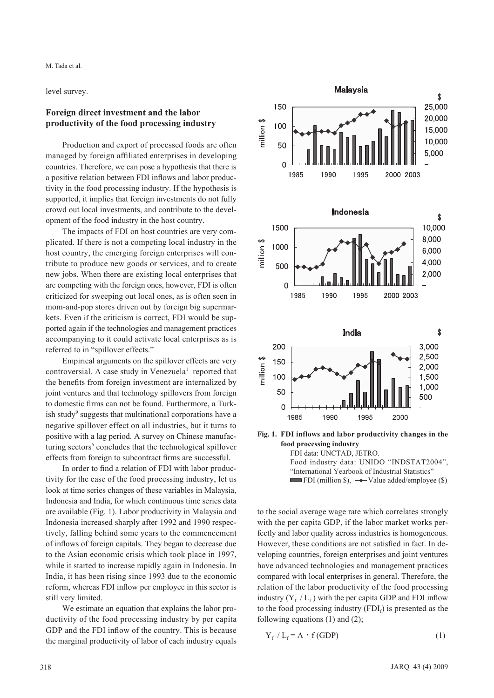M. Tada et al.

level survey.

## **Foreign direct investment and the labor productivity of the food processing industry**

Production and export of processed foods are often managed by foreign affiliated enterprises in developing countries. Therefore, we can pose a hypothesis that there is a positive relation between FDI inflows and labor productivity in the food processing industry. If the hypothesis is supported, it implies that foreign investments do not fully crowd out local investments, and contribute to the development of the food industry in the host country.

The impacts of FDI on host countries are very complicated. If there is not a competing local industry in the host country, the emerging foreign enterprises will contribute to produce new goods or services, and to create new jobs. When there are existing local enterprises that are competing with the foreign ones, however, FDI is often criticized for sweeping out local ones, as is often seen in mom-and-pop stores driven out by foreign big supermarkets. Even if the criticism is correct, FDI would be supported again if the technologies and management practices accompanying to it could activate local enterprises as is referred to in "spillover effects."

Empirical arguments on the spillover effects are very controversial. A case study in Venezuela<sup>1</sup> reported that the benefits from foreign investment are internalized by joint ventures and that technology spillovers from foreign to domestic firms can not be found. Furthermore, a Turkish study<sup>9</sup> suggests that multinational corporations have a negative spillover effect on all industries, but it turns to positive with a lag period. A survey on Chinese manufacturing sectors<sup>6</sup> concludes that the technological spillover effects from foreign to subcontract firms are successful.

In order to find a relation of FDI with labor productivity for the case of the food processing industry, let us look at time series changes of these variables in Malaysia, Indonesia and India, for which continuous time series data are available (Fig. 1). Labor productivity in Malaysia and Indonesia increased sharply after 1992 and 1990 respectively, falling behind some years to the commencement of inflows of foreign capitals. They began to decrease due to the Asian economic crisis which took place in 1997, while it started to increase rapidly again in Indonesia. In India, it has been rising since 1993 due to the economic reform, whereas FDI inflow per employee in this sector is still very limited.

We estimate an equation that explains the labor productivity of the food processing industry by per capita GDP and the FDI inflow of the country. This is because the marginal productivity of labor of each industry equals





FDI data: UNCTAD, JETRO. Food industry data: UNIDO "INDSTAT2004", "International Yearbook of Industrial Statistics" FDI (million \$),  $\rightarrow$  Value added/employee (\$)

to the social average wage rate which correlates strongly with the per capita GDP, if the labor market works perfectly and labor quality across industries is homogeneous. However, these conditions are not satisfied in fact. In developing countries, foreign enterprises and joint ventures have advanced technologies and management practices compared with local enterprises in general. Therefore, the relation of the labor productivity of the food processing industry  $(Y_f / L_f)$  with the per capita GDP and FDI inflow to the food processing industry  $(FDI<sub>f</sub>)$  is presented as the following equations (1) and (2);

$$
Y_f / L_f = A \cdot f(GDP)
$$
 (1)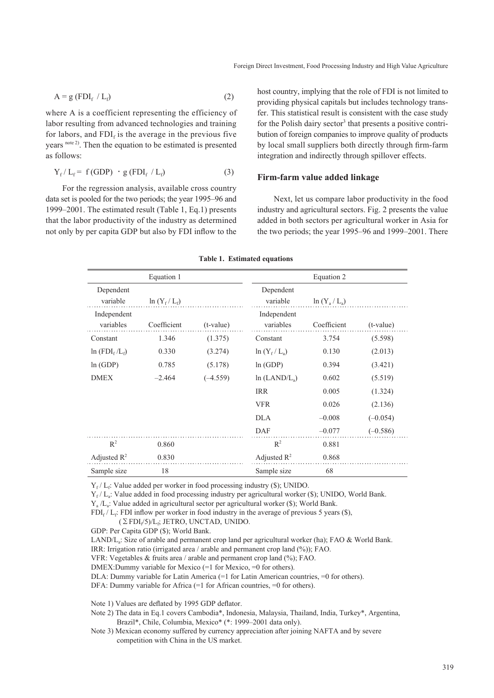$$
A = g (FDI_f / L_f)
$$
 (2)

where A is a coefficient representing the efficiency of labor resulting from advanced technologies and training for labors, and  $FDI<sub>f</sub>$  is the average in the previous five years note 2). Then the equation to be estimated is presented as follows:

$$
Y_f / L_f = f(GDP) \cdot g(FDI_f / L_f)
$$
 (3)

For the regression analysis, available cross country data set is pooled for the two periods; the year 1995–96 and 1999–2001. The estimated result (Table 1, Eq.1) presents that the labor productivity of the industry as determined not only by per capita GDP but also by FDI inflow to the host country, implying that the role of FDI is not limited to providing physical capitals but includes technology transfer. This statistical result is consistent with the case study for the Polish dairy sector<sup>3</sup> that presents a positive contribution of foreign companies to improve quality of products by local small suppliers both directly through firm-farm integration and indirectly through spillover effects.

## **Firm-farm value added linkage**

Next, let us compare labor productivity in the food industry and agricultural sectors. Fig. 2 presents the value added in both sectors per agricultural worker in Asia for the two periods; the year 1995–96 and 1999–2001. There

|                                           | Equation 1     |             |                          | Equation 2     |             |
|-------------------------------------------|----------------|-------------|--------------------------|----------------|-------------|
| Dependent<br>variable                     | $\ln(Y_f/L_f)$ |             | Dependent<br>variable    | $\ln(Y_a/L_a)$ |             |
| Independent<br>variables                  | Coefficient    | $(t-value)$ | Independent<br>variables | Coefficient    | $(t-value)$ |
| Constant                                  | 1.346          | (1.375)     | Constant                 | 3.754          | (5.598)     |
| $\ln$ (FDI <sub>f</sub> /L <sub>f</sub> ) | 0.330          | (3.274)     | $\ln(Y_f/L_a)$           | 0.130          | (2.013)     |
| ln(GDP)                                   | 0.785          | (5.178)     | ln(GDP)                  | 0.394          | (3.421)     |
| <b>DMEX</b>                               | $-2.464$       | $(-4.559)$  | $ln (LAND/L_a)$          | 0.602          | (5.519)     |
|                                           |                |             | <b>IRR</b>               | 0.005          | (1.324)     |
|                                           |                |             | <b>VFR</b>               | 0.026          | (2.136)     |
|                                           |                |             | <b>DLA</b>               | $-0.008$       | $(-0.054)$  |
|                                           |                |             | <b>DAF</b>               | $-0.077$       | $(-0.586)$  |
| $R^2$                                     | 0.860          |             | $R^2$                    | 0.881          |             |
| Adjusted $R^2$                            | 0.830          |             | Adjusted $\mathbb{R}^2$  | 0.868          |             |
| Sample size                               | 18             |             | Sample size              | 68             |             |

#### **Table 1. Estimated equations**

 $Y_f / L_f$ : Value added per worker in food processing industry (\$); UNIDO.

 $Y_f/L_a$ : Value added in food processing industry per agricultural worker (\$); UNIDO, World Bank.

 $Y_{a}/L_{a}$ : Value added in agricultural sector per agricultural worker (\$); World Bank.

 $FDI_f / L_f$ : FDI inflow per worker in food industry in the average of previous 5 years (\$),

(**Σ**FDIf /5)/Lf ; JETRO, UNCTAD**,** UNIDO.

GDP: Per Capita GDP (\$); World Bank.

LAND/ $L_a$ : Size of arable and permanent crop land per agricultural worker (ha); FAO & World Bank.

IRR: Irrigation ratio (irrigated area / arable and permanent crop land (%)); FAO.

VFR: Vegetables & fruits area / arable and permanent crop land (%); FAO.

DMEX: Dummy variable for Mexico (=1 for Mexico, =0 for others).

DLA: Dummy variable for Latin America (=1 for Latin American countries, =0 for others).

DFA: Dummy variable for Africa (=1 for African countries, =0 for others).

Note 1) Values are deflated by 1995 GDP deflator.

Note 3) Mexican economy suffered by currency appreciation after joining NAFTA and by severe competition with China in the US market.

Note 2) The data in Eq.1 covers Cambodia\*, Indonesia, Malaysia, Thailand, India, Turkey\*, Argentina, Brazil\*, Chile, Columbia, Mexico\* (\*: 1999–2001 data only).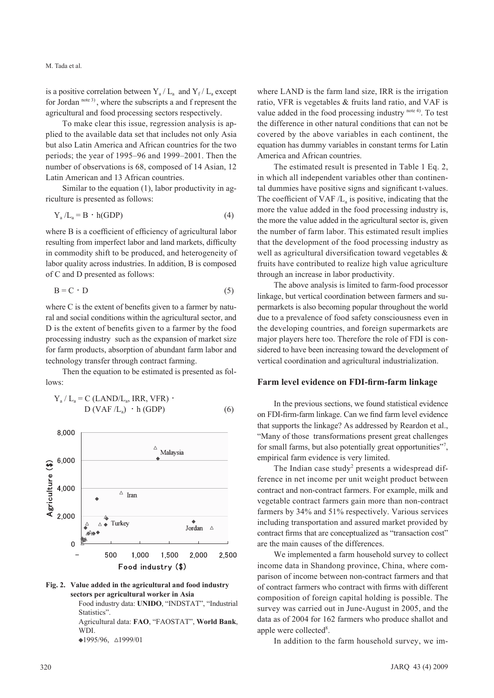is a positive correlation between  $Y_a / L_a$  and  $Y_f / L_a$  except for Jordan note 3), where the subscripts a and f represent the agricultural and food processing sectors respectively.

To make clear this issue, regression analysis is applied to the available data set that includes not only Asia but also Latin America and African countries for the two periods; the year of 1995–96 and 1999–2001. Then the number of observations is 68, composed of 14 Asian, 12 Latin American and 13 African countries.

Similar to the equation (1), labor productivity in agriculture is presented as follows:

$$
Y_a / L_a = B \cdot h(GDP)
$$
 (4)

where B is a coefficient of efficiency of agricultural labor resulting from imperfect labor and land markets, difficulty in commodity shift to be produced, and heterogeneity of labor quality across industries. In addition, B is composed of C and D presented as follows:

$$
B = C \cdot D \tag{5}
$$

where C is the extent of benefits given to a farmer by natural and social conditions within the agricultural sector, and D is the extent of benefits given to a farmer by the food processing industry such as the expansion of market size for farm products, absorption of abundant farm labor and technology transfer through contract farming.

Then the equation to be estimated is presented as follows:

$$
Y_a / L_a = C (LAND/L_a, IRR, VFR) \cdot D (VAF/L_a) \cdot h (GDP)
$$
 (6)



**Fig. 2. Value added in the agricultural and food industry sectors per agricultural worker in Asia** Food industry data: **UNIDO**, "INDSTAT", "Industrial Statistics". Agricultural data: **FAO**, "FAOSTAT", **World Bank**, WDI.

1995/96,1999/01

where LAND is the farm land size, IRR is the irrigation ratio, VFR is vegetables & fruits land ratio, and VAF is value added in the food processing industry note 4). To test the difference in other natural conditions that can not be covered by the above variables in each continent, the equation has dummy variables in constant terms for Latin America and African countries.

The estimated result is presented in Table 1 Eq. 2, in which all independent variables other than continental dummies have positive signs and significant t-values. The coefficient of VAF  $/L_a$  is positive, indicating that the more the value added in the food processing industry is, the more the value added in the agricultural sector is, given the number of farm labor. This estimated result implies that the development of the food processing industry as well as agricultural diversification toward vegetables & fruits have contributed to realize high value agriculture through an increase in labor productivity.

The above analysis is limited to farm-food processor linkage, but vertical coordination between farmers and supermarkets is also becoming popular throughout the world due to a prevalence of food safety consciousness even in the developing countries, and foreign supermarkets are major players here too. Therefore the role of FDI is considered to have been increasing toward the development of vertical coordination and agricultural industrialization.

#### **Farm level evidence on FDI-firm-farm linkage**

In the previous sections, we found statistical evidence on FDI-firm-farm linkage. Can we find farm level evidence that supports the linkage? As addressed by Reardon et al., "Many of those transformations present great challenges for small farms, but also potentially great opportunities"<sup>7</sup>, empirical farm evidence is very limited.

The Indian case study<sup>2</sup> presents a widespread difference in net income per unit weight product between contract and non-contract farmers. For example, milk and vegetable contract farmers gain more than non-contract farmers by 34% and 51% respectively. Various services including transportation and assured market provided by contract firms that are conceptualized as "transaction cost" are the main causes of the differences.

We implemented a farm household survey to collect income data in Shandong province, China, where comparison of income between non-contract farmers and that of contract farmers who contract with firms with different composition of foreign capital holding is possible. The survey was carried out in June-August in 2005, and the data as of 2004 for 162 farmers who produce shallot and apple were collected<sup>8</sup>.

In addition to the farm household survey, we im-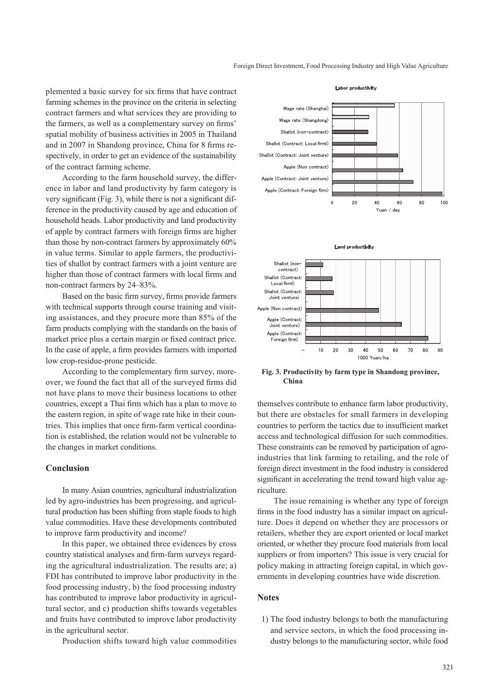plemented a basic survey for six firms that have contract farming schemes in the province on the criteria in selecting contract farmers and what services they are providing to the farmers, as well as a complementary survey on firms' spatial mobility of business activities in 2005 in Thailand and in 2007 in Shandong province, China for 8 firms respectively, in order to get an evidence of the sustainability of the contract farming scheme.

According to the farm household survey, the difference in labor and land productivity by farm category is very significant (Fig. 3), while there is not a significant difference in the productivity caused by age and education of household heads. Labor productivity and land productivity of apple by contract farmers with foreign firms are higher than those by non-contract farmers by approximately 60% in value terms. Similar to apple farmers, the productivities of shallot by contract farmers with a joint venture are higher than those of contract farmers with local firms and non-contract farmers by 24–83%.

Based on the basic firm survey, firms provide farmers with technical supports through course training and visiting assistances, and they procure more than 85% of the farm products complying with the standards on the basis of market price plus a certain margin or fixed contract price. In the case of apple, a firm provides farmers with imported low crop-residue-prone pesticide.

According to the complementary firm survey, moreover, we found the fact that all of the surveyed firms did not have plans to move their business locations to other countries, except a Thai firm which has a plan to move to the eastern region, in spite of wage rate hike in their countries. This implies that once firm-farm vertical coordination is established, the relation would not be vulnerable to the changes in market conditions.

### **Conclusion**

In many Asian countries, agricultural industrialization led by agro-industries has been progressing, and agricultural production has been shifting from staple foods to high value commodities. Have these developments contributed to improve farm productivity and income?

In this paper, we obtained three evidences by cross country statistical analyses and firm-farm surveys regarding the agricultural industrialization. The results are; a) FDI has contributed to improve labor productivity in the food processing industry, b) the food processing industry has contributed to improve labor productivity in agricultural sector, and c) production shifts towards vegetables and fruits have contributed to improve labor productivity in the agricultural sector.

Production shifts toward high value commodities







**Fig. 3. Productivity by farm type in Shandong province, China**

themselves contribute to enhance farm labor productivity, but there are obstacles for small farmers in developing countries to perform the tactics due to insufficient market access and technological diffusion for such commodities. These constraints can be removed by participation of agroindustries that link farming to retailing, and the role of foreign direct investment in the food industry is considered significant in accelerating the trend toward high value agriculture.

The issue remaining is whether any type of foreign firms in the food industry has a similar impact on agriculture. Does it depend on whether they are processors or retailers, whether they are export oriented or local market oriented, or whether they procure food materials from local suppliers or from importers? This issue is very crucial for policy making in attracting foreign capital, in which governments in developing countries have wide discretion.

#### **Notes**

1) The food industry belongs to both the manufacturing and service sectors, in which the food processing industry belongs to the manufacturing sector, while food